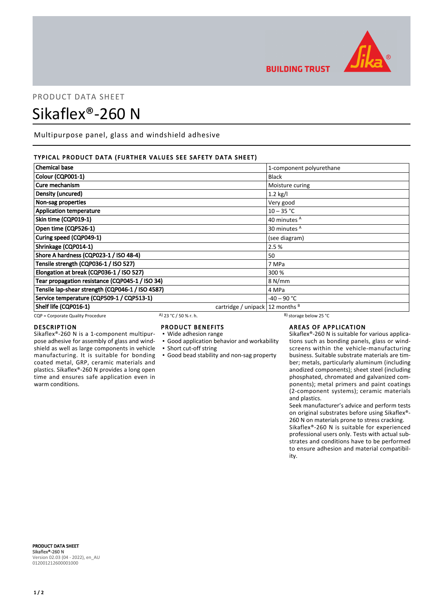

# PRODUCT DATA SHEET

# Sikaflex®-260 N

Multipurpose panel, glass and windshield adhesive

# TYPICAL PRODUCT DATA (FURTHER VALUES SEE SAFETY DATA SHEET)

| <b>Chemical base</b>                             |                                       | 1-component polyurethane |  |
|--------------------------------------------------|---------------------------------------|--------------------------|--|
| Colour (CQP001-1)                                |                                       | <b>Black</b>             |  |
| Cure mechanism                                   |                                       | Moisture curing          |  |
| Density (uncured)                                |                                       | $1.2$ kg/l               |  |
| Non-sag properties                               |                                       | Very good                |  |
| <b>Application temperature</b>                   |                                       | $10 - 35 °C$             |  |
| Skin time (CQP019-1)                             |                                       | 40 minutes <sup>A</sup>  |  |
| Open time (CQP526-1)                             |                                       | 30 minutes <sup>A</sup>  |  |
| Curing speed (CQP049-1)                          |                                       | (see diagram)            |  |
| Shrinkage (CQP014-1)                             |                                       | 2.5 %                    |  |
| Shore A hardness (CQP023-1 / ISO 48-4)           |                                       | 50                       |  |
| Tensile strength (CQP036-1 / ISO 527)            |                                       | 7 MPa                    |  |
| Elongation at break (CQP036-1 / ISO 527)         |                                       | 300 %                    |  |
| Tear propagation resistance (CQP045-1 / ISO 34)  |                                       | 8 N/mm                   |  |
| Tensile lap-shear strength (CQP046-1 / ISO 4587) |                                       | 4 MPa                    |  |
| Service temperature (CQP509-1 / CQP513-1)        |                                       | -40 – 90 °C              |  |
| Shelf life (CQP016-1)                            | cartridge / unipack $ 12$ months $ 8$ |                          |  |

CQP = Corporate Quality Procedure  $A$  23 °C / 50 % r. h. B) storage below 25 °C

# DESCRIPTION

Sikaflex®-260 N is a 1-component multipurpose adhesive for assembly of glass and windshield as well as large components in vehicle manufacturing. It is suitable for bonding coated metal, GRP, ceramic materials and plastics. Sikaflex®-260 N provides a long open time and ensures safe application even in warm conditions.

- PRODUCT BENEFITS
- Wide adhesion range
- Good application behavior and workability
- Short cut-off string
- Good bead stability and non-sag property

**BUILDING TRUST** 

# AREAS OF APPLICATION

Sikaflex®-260 N is suitable for various applications such as bonding panels, glass or windscreens within the vehicle-manufacturing business. Suitable substrate materials are timber; metals, particularly aluminum (including anodized components); sheet steel (including phosphated, chromated and galvanized components); metal primers and paint coatings (2-component systems); ceramic materials and plastics.

Seek manufacturer's advice and perform tests on original substrates before using Sikaflex®- 260 N on materials prone to stress cracking.

Sikaflex®-260 N is suitable for experienced professional users only. Tests with actual substrates and conditions have to be performed to ensure adhesion and material compatibility.

PRODUCT DATA SHEET Sikaflex®-260 N Version 02.03 (04 - 2022), en\_AU 012001212600001000